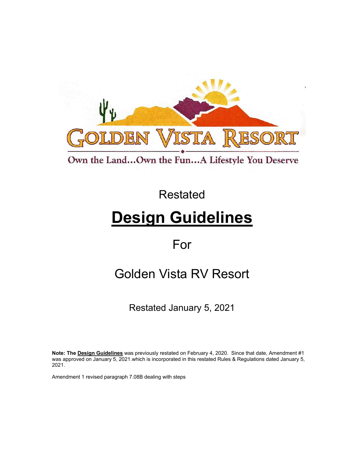

Own the Land...Own the Fun...A Lifestyle You Deserve

Restated

# **Design Guidelines**

For

## Golden Vista RV Resort

Restated January 5, 2021

**Note: The Design Guidelines** was previously restated on February 4, 2020. Since that date, Amendment #1 was approved on January 5, 2021.which is incorporated in this restated Rules & Regulations dated January 5, 2021.

Amendment 1 revised paragraph 7.08B dealing with steps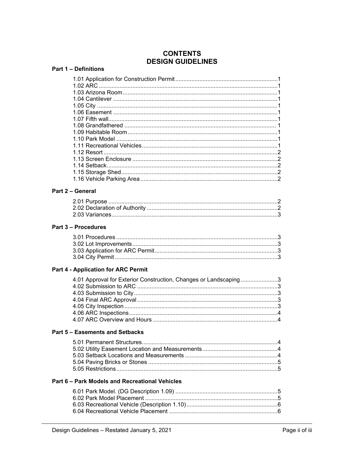## **CONTENTS DESIGN GUIDELINES**

#### **Part 1 - Definitions**

#### Part 2 - General

#### Part 3 - Procedures

### **Part 4 - Application for ARC Permit**

| 4.01 Approval for Exterior Construction, Changes or Landscaping3 |  |
|------------------------------------------------------------------|--|
|                                                                  |  |
|                                                                  |  |
|                                                                  |  |
|                                                                  |  |
|                                                                  |  |
|                                                                  |  |

#### Part 5 - Easements and Setbacks

#### Part 6 - Park Models and Recreational Vehicles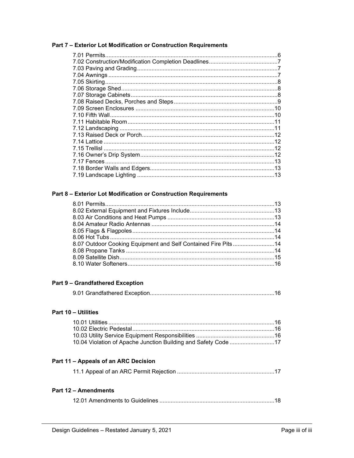#### Part 7 - Exterior Lot Modification or Construction Requirements

| 7.01 Permits. |  |
|---------------|--|
|               |  |
|               |  |
|               |  |
|               |  |
|               |  |
|               |  |
|               |  |
|               |  |
|               |  |
|               |  |
|               |  |
|               |  |
|               |  |
|               |  |
|               |  |
|               |  |
|               |  |
|               |  |

## Part 8 - Exterior Lot Modification or Construction Requirements

| 8.07 Outdoor Cooking Equipment and Self Contained Fire Pits14 |  |
|---------------------------------------------------------------|--|
|                                                               |  |
|                                                               |  |
|                                                               |  |

#### **Part 9 - Grandfathered Exception**

#### Part 10 - Utilities

| 10.04 Violation of Apache Junction Building and Safety Code 17 |  |
|----------------------------------------------------------------|--|

## Part 11 - Appeals of an ARC Decision

|--|--|--|--|--|--|

#### **Part 12 - Amendments**

|--|--|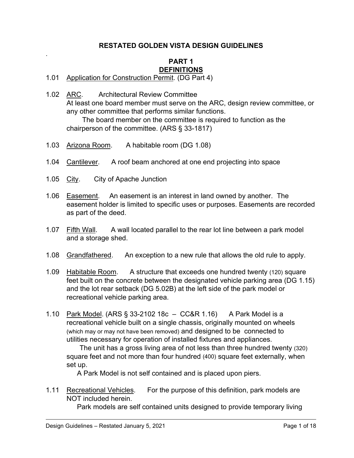## **RESTATED GOLDEN VISTA DESIGN GUIDELINES**

## **PART 1 DEFINITIONS**

- 1.01 Application for Construction Permit. (DG Part 4)
- 1.02 ARC. Architectural Review Committee At least one board member must serve on the ARC, design review committee, or any other committee that performs similar functions. The board member on the committee is required to function as the chairperson of the committee. (ARS § 33-1817)
- 1.03 Arizona Room. A habitable room (DG 1.08)
- 1.04 Cantilever. A roof beam anchored at one end projecting into space
- 1.05 City. City of Apache Junction

.

- 1.06 Easement. An easement is an interest in land owned by another. The easement holder is limited to specific uses or purposes. Easements are recorded as part of the deed.
- 1.07 Fifth Wall. A wall located parallel to the rear lot line between a park model and a storage shed.
- 1.08 Grandfathered. An exception to a new rule that allows the old rule to apply.
- 1.09 Habitable Room. A structure that exceeds one hundred twenty (120) square feet built on the concrete between the designated vehicle parking area (DG 1.15) and the lot rear setback (DG 5.02B) at the left side of the park model or recreational vehicle parking area.
- 1.10 Park Model. (ARS § 33-2102 18c CC&R 1.16) A Park Model is a recreational vehicle built on a single chassis, originally mounted on wheels (which may or may not have been removed) and designed to be connected to utilities necessary for operation of installed fixtures and appliances.

The unit has a gross living area of not less than three hundred twenty (320) square feet and not more than four hundred (400) square feet externally, when set up.

A Park Model is not self contained and is placed upon piers.

1.11 Recreational Vehicles. For the purpose of this definition, park models are NOT included herein.

Park models are self contained units designed to provide temporary living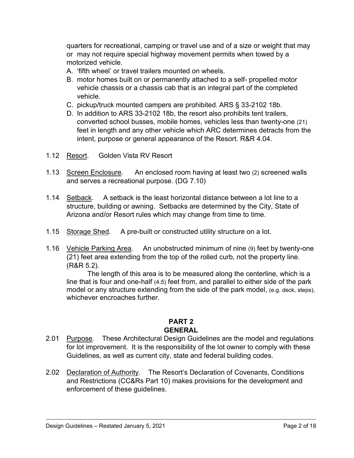quarters for recreational, camping or travel use and of a size or weight that may or may not require special highway movement permits when towed by a motorized vehicle.

- A. 'fifth wheel' or travel trailers mounted on wheels.
- B. motor homes built on or permanently attached to a self- propelled motor vehicle chassis or a chassis cab that is an integral part of the completed vehicle.
- C. pickup/truck mounted campers are prohibited. ARS § 33-2102 18b.
- D. In addition to ARS 33-2102 18b, the resort also prohibits tent trailers, converted school busses, mobile homes, vehicles less than twenty-one (21) feet in length and any other vehicle which ARC determines detracts from the intent, purpose or general appearance of the Resort. R&R 4.04.
- 1.12 Resort. Golden Vista RV Resort
- 1.13 Screen Enclosure. An enclosed room having at least two (2) screened walls and serves a recreational purpose. (DG 7.10)
- 1.14 Setback. A setback is the least horizontal distance between a lot line to a structure, building or awning. Setbacks are determined by the City, State of Arizona and/or Resort rules which may change from time to time.
- 1.15 Storage Shed. A pre-built or constructed utility structure on a lot.
- 1.16 Vehicle Parking Area. An unobstructed minimum of nine (9) feet by twenty-one (21) feet area extending from the top of the rolled curb, not the property line. (R&R 5.2).

The length of this area is to be measured along the centerline, which is a line that is four and one-half (4.5) feet from, and parallel to either side of the park model or any structure extending from the side of the park model, (e.g. deck, steps), whichever encroaches further.

## **PART 2 GENERAL**

- 2.01 Purpose. These Architectural Design Guidelines are the model and regulations for lot improvement. It is the responsibility of the lot owner to comply with these Guidelines, as well as current city, state and federal building codes.
- 2.02 Declaration of Authority. The Resort's Declaration of Covenants, Conditions and Restrictions (CC&Rs Part 10) makes provisions for the development and enforcement of these guidelines.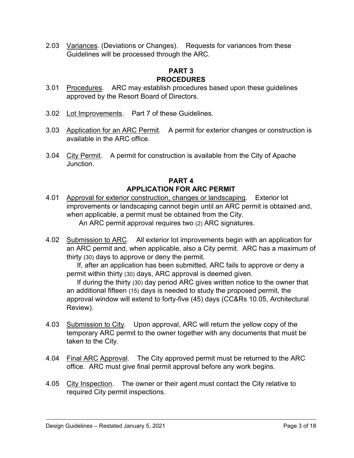2.03 Variances. (Deviations or Changes). Requests for variances from these Guidelines will be processed through the ARC.

## **PART 3 PROCEDURES**

- 3.01 Procedures. ARC may establish procedures based upon these guidelines approved by the Resort Board of Directors.
- 3.02 Lot Improvements. Part 7 of these Guidelines.
- 3.03 Application for an ARC Permit. A permit for exterior changes or construction is available in the ARC office.
- 3.04 City Permit. A permit for construction is available from the City of Apache Junction.

## **PART 4 APPLICATION FOR ARC PERMIT**

- 4.01 Approval for exterior construction, changes or landscaping. Exterior lot improvements or landscaping cannot begin until an ARC permit is obtained and, when applicable, a permit must be obtained from the City. An ARC permit approval requires two (2) ARC signatures.
- 4.02 Submission to ARC. All exterior lot improvements begin with an application for an ARC permit and, when applicable, also a City permit. ARC has a maximum of thirty (30) days to approve or deny the permit.

If, after an application has been submitted, ARC fails to approve or deny a permit within thirty (30) days, ARC approval is deemed given.

If during the thirty (30) day period ARC gives written notice to the owner that an additional fifteen (15) days is needed to study the proposed permit, the approval window will extend to forty-five (45) days (CC&Rs 10.05, Architectural Review).

- 4.03 Submission to City. Upon approval, ARC will return the yellow copy of the temporary ARC permit to the owner together with any documents that must be taken to the City.
- 4.04 Final ARC Approval. The City approved permit must be returned to the ARC office. ARC must give final permit approval before any work begins.
- 4.05 City Inspection. The owner or their agent must contact the City relative to required City permit inspections.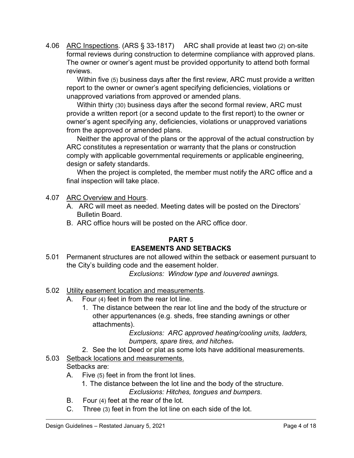4.06 ARC Inspections. (ARS § 33-1817) ARC shall provide at least two (2) on-site formal reviews during construction to determine compliance with approved plans. The owner or owner's agent must be provided opportunity to attend both formal reviews.

Within five (5) business days after the first review, ARC must provide a written report to the owner or owner's agent specifying deficiencies, violations or unapproved variations from approved or amended plans.

Within thirty (30) business days after the second formal review, ARC must provide a written report (or a second update to the first report) to the owner or owner's agent specifying any, deficiencies, violations or unapproved variations from the approved or amended plans.

Neither the approval of the plans or the approval of the actual construction by ARC constitutes a representation or warranty that the plans or construction comply with applicable governmental requirements or applicable engineering, design or safety standards.

When the project is completed, the member must notify the ARC office and a final inspection will take place.

## 4.07 ARC Overview and Hours.

- A. ARC will meet as needed. Meeting dates will be posted on the Directors' Bulletin Board.
- B. ARC office hours will be posted on the ARC office door.

## **PART 5 EASEMENTS AND SETBACKS**

5.01 Permanent structures are not allowed within the setback or easement pursuant to the City's building code and the easement holder.

*Exclusions: Window type and louvered awnings.*

- 5.02 Utility easement location and measurements.
	- A. Four (4) feet in from the rear lot line.
		- 1. The distance between the rear lot line and the body of the structure or other appurtenances (e.g. sheds, free standing awnings or other attachments).

*Exclusions: ARC approved heating/cooling units, ladders, bumpers, spare tires, and hitches*.

2. See the lot Deed or plat as some lots have additional measurements.

#### 5.03 Setback locations and measurements. Setbacks are:

- A. Five (5) feet in from the front lot lines.
	- 1. The distance between the lot line and the body of the structure. *Exclusions: Hitches, tongues and bumpers*.
- B. Four (4) feet at the rear of the lot.
- C. Three (3) feet in from the lot line on each side of the lot.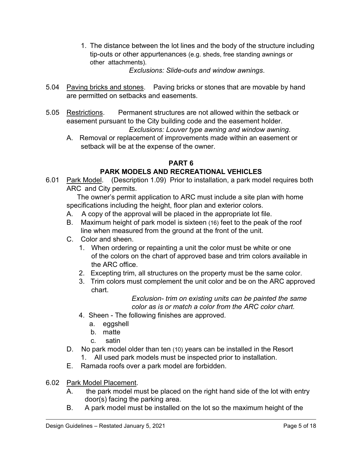1. The distance between the lot lines and the body of the structure including tip-outs or other appurtenances (e.g. sheds, free standing awnings or other attachments).

*Exclusions: Slide-outs and window awnings*.

- 5.04 Paving bricks and stones. Paving bricks or stones that are movable by hand are permitted on setbacks and easements.
- 5.05 Restrictions. Permanent structures are not allowed within the setback or easement pursuant to the City building code and the easement holder. *Exclusions: Louver type awning and window awning*.
	- A. Removal or replacement of improvements made within an easement or setback will be at the expense of the owner.

## **PART 6**

## **PARK MODELS AND RECREATIONAL VEHICLES**

6.01 Park Model. (Description 1.09) Prior to installation, a park model requires both ARC and City permits.

The owner's permit application to ARC must include a site plan with home specifications including the height, floor plan and exterior colors.

- A. A copy of the approval will be placed in the appropriate lot file.
- B. Maximum height of park model is sixteen (16) feet to the peak of the roof line when measured from the ground at the front of the unit.
- C. Color and sheen.
	- 1. When ordering or repainting a unit the color must be white or one of the colors on the chart of approved base and trim colors available in the ARC office.
	- 2. Excepting trim, all structures on the property must be the same color.
	- 3. Trim colors must complement the unit color and be on the ARC approved chart.

*Exclusion- trim on existing units can be painted the same color as is or match a color from the ARC color chart.*

- 4. Sheen The following finishes are approved.
	- a. eggshell
	- b. matte
	- c. satin
- D. No park model older than ten (10) years can be installed in the Resort
	- 1. All used park models must be inspected prior to installation.
- E. Ramada roofs over a park model are forbidden.
- 6.02 Park Model Placement.
	- A. the park model must be placed on the right hand side of the lot with entry door(s) facing the parking area.
	- B. A park model must be installed on the lot so the maximum height of the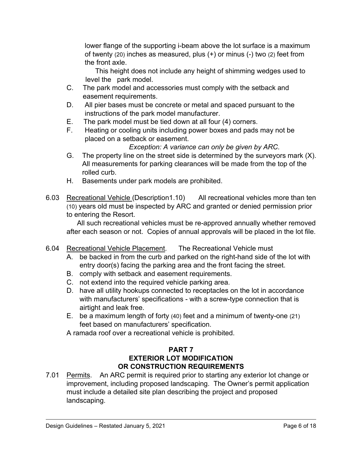lower flange of the supporting i-beam above the lot surface is a maximum of twenty (20) inches as measured, plus (+) or minus (-) two (2) feet from the front axle.

 This height does not include any height of shimming wedges used to level the park model.

- C. The park model and accessories must comply with the setback and easement requirements.
- D. All pier bases must be concrete or metal and spaced pursuant to the instructions of the park model manufacturer.
- E. The park model must be tied down at all four (4) corners.
- F. Heating or cooling units including power boxes and pads may not be placed on a setback or easement.

*Exception: A variance can only be given by ARC*.

- G. The property line on the street side is determined by the surveyors mark (X). All measurements for parking clearances will be made from the top of the rolled curb.
- H. Basements under park models are prohibited.
- 6.03 Recreational Vehicle (Description1.10) All recreational vehicles more than ten (10) years old must be inspected by ARC and granted or denied permission prior to entering the Resort.

All such recreational vehicles must be re-approved annually whether removed after each season or not. Copies of annual approvals will be placed in the lot file.

- 6.04 Recreational Vehicle Placement. The Recreational Vehicle must
	- A. be backed in from the curb and parked on the right-hand side of the lot with entry door(s) facing the parking area and the front facing the street.
	- B. comply with setback and easement requirements.
	- C. not extend into the required vehicle parking area.
	- D. have all utility hookups connected to receptacles on the lot in accordance with manufacturers' specifications - with a screw-type connection that is airtight and leak free.
	- E. be a maximum length of forty (40) feet and a minimum of twenty-one (21) feet based on manufacturers' specification.
	- A ramada roof over a recreational vehicle is prohibited.

## **PART 7 EXTERIOR LOT MODIFICATION OR CONSTRUCTION REQUIREMENTS**

7.01 Permits. An ARC permit is required prior to starting any exterior lot change or improvement, including proposed landscaping. The Owner's permit application must include a detailed site plan describing the project and proposed landscaping.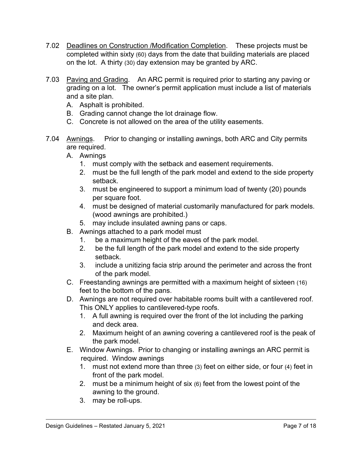- 7.02 Deadlines on Construction /Modification Completion. These projects must be completed within sixty (60) days from the date that building materials are placed on the lot. A thirty (30) day extension may be granted by ARC.
- 7.03 Paving and Grading. An ARC permit is required prior to starting any paving or grading on a lot. The owner's permit application must include a list of materials and a site plan.
	- A. Asphalt is prohibited.
	- B. Grading cannot change the lot drainage flow.
	- C. Concrete is not allowed on the area of the utility easements.
- 7.04 Awnings. Prior to changing or installing awnings, both ARC and City permits are required.
	- A. Awnings
		- 1. must comply with the setback and easement requirements.
		- 2. must be the full length of the park model and extend to the side property setback.
		- 3. must be engineered to support a minimum load of twenty (20) pounds per square foot.
		- 4. must be designed of material customarily manufactured for park models. (wood awnings are prohibited.)
		- 5. may include insulated awning pans or caps.
	- B. Awnings attached to a park model must
		- 1. be a maximum height of the eaves of the park model.
		- 2. be the full length of the park model and extend to the side property setback.
		- 3. include a unitizing facia strip around the perimeter and across the front of the park model.
	- C. Freestanding awnings are permitted with a maximum height of sixteen (16) feet to the bottom of the pans.
	- D. Awnings are not required over habitable rooms built with a cantilevered roof. This ONLY applies to cantilevered-type roofs.
		- 1. A full awning is required over the front of the lot including the parking and deck area.
		- 2. Maximum height of an awning covering a cantilevered roof is the peak of the park model.
	- E. Window Awnings. Prior to changing or installing awnings an ARC permit is required. Window awnings
		- 1. must not extend more than three (3) feet on either side, or four (4) feet in front of the park model.
		- 2. must be a minimum height of six (6) feet from the lowest point of the awning to the ground.
		- 3. may be roll-ups.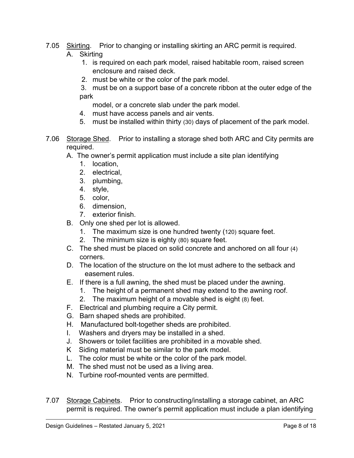- 7.05 Skirting. Prior to changing or installing skirting an ARC permit is required. A. Skirting
	- 1. is required on each park model, raised habitable room, raised screen enclosure and raised deck.
	- 2. must be white or the color of the park model.

 3. must be on a support base of a concrete ribbon at the outer edge of the park

model, or a concrete slab under the park model.

- 4. must have access panels and air vents.
- 5. must be installed within thirty (30) days of placement of the park model.
- 7.06 Storage Shed. Prior to installing a storage shed both ARC and City permits are required.
	- A. The owner's permit application must include a site plan identifying
		- 1. location,
		- 2. electrical,
		- 3. plumbing,
		- 4. style,
		- 5. color,
		- 6. dimension,
		- 7. exterior finish.
	- B. Only one shed per lot is allowed.
		- 1. The maximum size is one hundred twenty (120) square feet.
		- 2. The minimum size is eighty (80) square feet.
	- C. The shed must be placed on solid concrete and anchored on all four (4) corners.
	- D. The location of the structure on the lot must adhere to the setback and easement rules.
	- E. If there is a full awning, the shed must be placed under the awning.
		- 1. The height of a permanent shed may extend to the awning roof.
		- 2. The maximum height of a movable shed is eight (8) feet.
	- F. Electrical and plumbing require a City permit.
	- G. Barn shaped sheds are prohibited.
	- H. Manufactured bolt-together sheds are prohibited.
	- I. Washers and dryers may be installed in a shed.
	- J. Showers or toilet facilities are prohibited in a movable shed.
	- K Siding material must be similar to the park model.
	- L. The color must be white or the color of the park model.
	- M. The shed must not be used as a living area.
	- N. Turbine roof-mounted vents are permitted.
- 7.07 Storage Cabinets. Prior to constructing/installing a storage cabinet, an ARC permit is required. The owner's permit application must include a plan identifying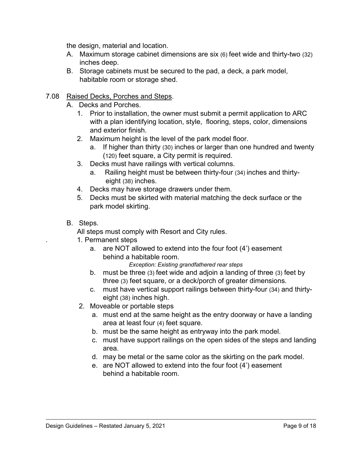the design, material and location.

- A. Maximum storage cabinet dimensions are six (6) feet wide and thirty-two (32) inches deep.
- B. Storage cabinets must be secured to the pad, a deck, a park model, habitable room or storage shed.
- 7.08 Raised Decks, Porches and Steps.
	- A. Decks and Porches.
		- 1. Prior to installation, the owner must submit a permit application to ARC with a plan identifying location, style, flooring, steps, color, dimensions and exterior finish.
		- 2. Maximum height is the level of the park model floor.
			- a. If higher than thirty (30) inches or larger than one hundred and twenty (120) feet square, a City permit is required.
		- 3. Decks must have railings with vertical columns.
			- a. Railing height must be between thirty-four (34) inches and thirtyeight (38) inches.
		- 4. Decks may have storage drawers under them.
		- 5. Decks must be skirted with material matching the deck surface or the park model skirting.
	- B. Steps.

All steps must comply with Resort and City rules.

- *.* 1. Permanent steps
	- a. are NOT allowed to extend into the four foot (4') easement behind a habitable room.

*Exception: Existing grandfathered rear steps*

- b. must be three (3) feet wide and adjoin a landing of three (3) feet by three (3) feet square, or a deck/porch of greater dimensions.
- c. must have vertical support railings between thirty-four (34) and thirtyeight (38) inches high.
- 2. Moveable or portable steps
	- a. must end at the same height as the entry doorway or have a landing area at least four (4) feet square.
	- b. must be the same height as entryway into the park model.
	- c. must have support railings on the open sides of the steps and landing area.
	- d. may be metal or the same color as the skirting on the park model.
	- e. are NOT allowed to extend into the four foot (4') easement behind a habitable room.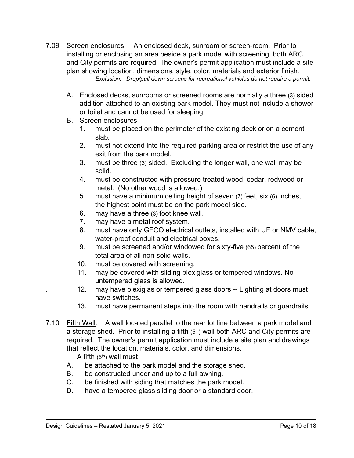- 7.09 Screen enclosures. An enclosed deck, sunroom or screen-room. Prior to installing or enclosing an area beside a park model with screening, both ARC and City permits are required. The owner's permit application must include a site plan showing location, dimensions, style, color, materials and exterior finish. *Exclusion: Drop/pull down screens for recreational vehicles do not require a permit.*
	- A. Enclosed decks, sunrooms or screened rooms are normally a three (3) sided addition attached to an existing park model. They must not include a shower or toilet and cannot be used for sleeping.
	- B. Screen enclosures
		- 1. must be placed on the perimeter of the existing deck or on a cement slab*.*
		- 2. must not extend into the required parking area or restrict the use of any exit from the park model.
		- 3. must be three (3) sided. Excluding the longer wall, one wall may be solid.
		- 4. must be constructed with pressure treated wood, cedar, redwood or metal. (No other wood is allowed.)
		- 5. must have a minimum ceiling height of seven (7) feet, six (6) inches, the highest point must be on the park model side.
		- 6. may have a three (3) foot knee wall.
		- 7. may have a metal roof system.
		- 8. must have only GFCO electrical outlets, installed with UF or NMV cable, water-proof conduit and electrical boxes.
		- 9. must be screened and/or windowed for sixty-five (65) percent of the total area of all non-solid walls.
		- 10. must be covered with screening.
		- 11. may be covered with sliding plexiglass or tempered windows. No untempered glass is allowed.
		- . 12. may have plexiglas or tempered glass doors -- Lighting at doors must have switches.
		- 13. must have permanent steps into the room with handrails or guardrails.
- 7.10 Fifth Wall. A wall located parallel to the rear lot line between a park model and a storage shed. Prior to installing a fifth  $(5<sup>th</sup>)$  wall both ARC and City permits are required. The owner's permit application must include a site plan and drawings that reflect the location, materials, color, and dimensions.

A fifth  $(5<sup>th</sup>)$  wall must

- A. be attached to the park model and the storage shed.
- B. be constructed under and up to a full awning.
- C. be finished with siding that matches the park model.
- D. have a tempered glass sliding door or a standard door.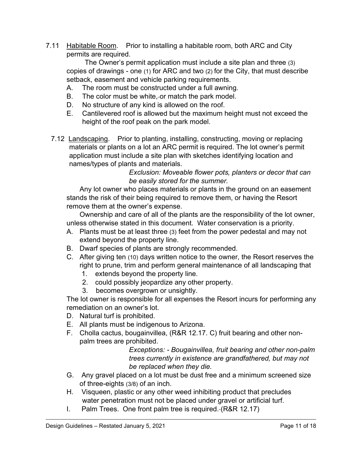7.11 Habitable Room. Prior to installing a habitable room, both ARC and City permits are required.

The Owner's permit application must include a site plan and three (3) copies of drawings - one (1) for ARC and two (2) for the City, that must describe setback, easement and vehicle parking requirements.

- A. The room must be constructed under a full awning.
- B. The color must be white, or match the park model.
- D. No structure of any kind is allowed on the roof.
- E. Cantilevered roof is allowed but the maximum height must not exceed the height of the roof peak on the park model.
- 7.12 Landscaping. Prior to planting, installing, constructing, moving or replacing materials or plants on a lot an ARC permit is required. The lot owner's permit application must include a site plan with sketches identifying location and names/types of plants and materials.

 *Exclusion: Moveable flower pots, planters or decor that can be easily stored for the summer.*

Any lot owner who places materials or plants in the ground on an easement stands the risk of their being required to remove them, or having the Resort remove them at the owner's expense.

Ownership and care of all of the plants are the responsibility of the lot owner, unless otherwise stated in this document. Water conservation is a priority.

- A. Plants must be at least three (3) feet from the power pedestal and may not extend beyond the property line.
- B. Dwarf species of plants are strongly recommended.
- C. After giving ten (10) days written notice to the owner, the Resort reserves the right to prune, trim and perform general maintenance of all landscaping that
	- 1. extends beyond the property line.
	- 2. could possibly jeopardize any other property.
	- 3. becomes overgrown or unsightly.

The lot owner is responsible for all expenses the Resort incurs for performing any remediation on an owner's lot.

- D. Natural turf is prohibited.
- E. All plants must be indigenous to Arizona.
- F. Cholla cactus, bougainvillea, (R&R 12.17. C) fruit bearing and other nonpalm trees are prohibited.

*Exceptions: - Bougainvillea, fruit bearing and other non-palm trees currently in existence are grandfathered, but may not be replaced when they die.* 

- G. Any gravel placed on a lot must be dust free and a minimum screened size of three-eights (3/8) of an inch.
- H. Visqueen, plastic or any other weed inhibiting product that precludes water penetration must not be placed under gravel or artificial turf.
- I. Palm Trees. One front palm tree is required. (R&R 12.17)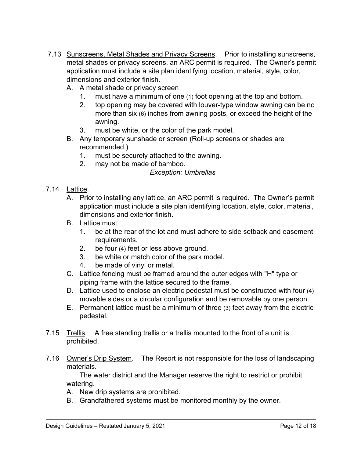- 7.13 Sunscreens, Metal Shades and Privacy Screens. Prior to installing sunscreens, metal shades or privacy screens, an ARC permit is required. The Owner's permit application must include a site plan identifying location, material, style, color, dimensions and exterior finish.
	- A. A metal shade or privacy screen
		- 1. must have a minimum of one (1) foot opening at the top and bottom.
		- 2. top opening may be covered with louver-type window awning can be no more than six (6) inches from awning posts, or exceed the height of the awning.
		- 3. must be white, or the color of the park model.
	- B. Any temporary sunshade or screen (Roll-up screens or shades are recommended.)
		- 1. must be securely attached to the awning.
		- 2. may not be made of bamboo.

### *Exception: Umbrellas*

- 7.14 Lattice.
	- A. Prior to installing any lattice, an ARC permit is required. The Owner's permit application must include a site plan identifying location, style, color, material, dimensions and exterior finish.
	- B. Lattice must
		- 1. be at the rear of the lot and must adhere to side setback and easement requirements.
		- 2. be four (4) feet or less above ground.
		- 3. be white or match color of the park model.
		- 4. be made of vinyl or metal.
	- C. Lattice fencing must be framed around the outer edges with "H" type or piping frame with the lattice secured to the frame.
	- D. Lattice used to enclose an electric pedestal must be constructed with four (4) movable sides or a circular configuration and be removable by one person.
	- E. Permanent lattice must be a minimum of three (3) feet away from the electric pedestal.
- 7.15 Trellis. A free standing trellis or a trellis mounted to the front of a unit is prohibited.
- 7.16 Owner's Drip System. The Resort is not responsible for the loss of landscaping materials.

The water district and the Manager reserve the right to restrict or prohibit watering.

- A. New drip systems are prohibited.
- B. Grandfathered systems must be monitored monthly by the owner.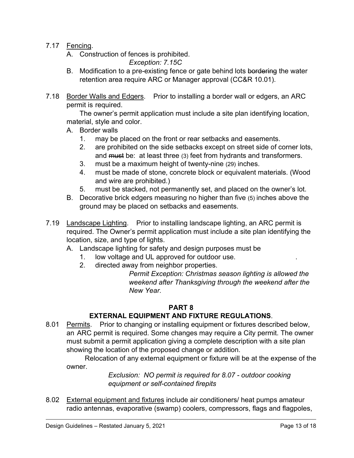- 7.17 Fencing.
	- A. Construction of fences is prohibited.

*Exception: 7.15C*

- B. Modification to a pre-existing fence or gate behind lots bordering the water retention area require ARC or Manager approval (CC&R 10.01).
- 7.18 Border Walls and Edgers. Prior to installing a border wall or edgers, an ARC permit is required.

 The owner's permit application must include a site plan identifying location, material, style and color.

- A. Border walls
	- 1. may be placed on the front or rear setbacks and easements.
	- 2. are prohibited on the side setbacks except on street side of corner lots, and must be: at least three (3) feet from hydrants and transformers.
	- 3. must be a maximum height of twenty-nine (29) inches.
	- 4. must be made of stone, concrete block or equivalent materials. (Wood and wire are prohibited.)
	- 5. must be stacked, not permanently set, and placed on the owner's lot.
- B. Decorative brick edgers measuring no higher than five (5) inches above the ground may be placed on setbacks and easements.
- 7.19 Landscape Lighting. Prior to installing landscape lighting, an ARC permit is required. The Owner's permit application must include a site plan identifying the location, size, and type of lights.
	- A. Landscape lighting for safety and design purposes must be
		- 1. low voltage and UL approved for outdoor use. .
		- 2. directed away from neighbor properties.

*Permit Exception: Christmas season lighting is allowed the weekend after Thanksgiving through the weekend after the New Year.*

## **PART 8**

## **EXTERNAL EQUIPMENT AND FIXTURE REGULATIONS**.

8.01 Permits. Prior to changing or installing equipment or fixtures described below, an ARC permit is required. Some changes may require a City permit. The owner must submit a permit application giving a complete description with a site plan showing the location of the proposed change or addition.

Relocation of any external equipment or fixture will be at the expense of the owner.

> *Exclusion: NO permit is required for 8.07 - outdoor cooking equipment or self-contained firepits*

8.02 External equipment and fixtures include air conditioners/ heat pumps amateur radio antennas, evaporative (swamp) coolers, compressors, flags and flagpoles,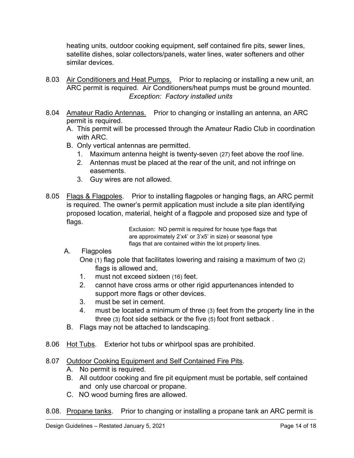heating units, outdoor cooking equipment, self contained fire pits, sewer lines, satellite dishes, solar collectors/panels, water lines, water softeners and other similar devices.

- 8.03 Air Conditioners and Heat Pumps. Prior to replacing or installing a new unit, an ARC permit is required. Air Conditioners/heat pumps must be ground mounted. *Exception: Factory installed units*
- 8.04 Amateur Radio Antennas. Prior to changing or installing an antenna, an ARC permit is required.
	- A. This permit will be processed through the Amateur Radio Club in coordination with ARC.
	- B. Only vertical antennas are permitted.
		- 1. Maximum antenna height is twenty-seven (27) feet above the roof line.
		- 2. Antennas must be placed at the rear of the unit, and not infringe on easements.
		- 3. Guy wires are not allowed.
- 8.05 Flags & Flagpoles. Prior to installing flagpoles or hanging flags, an ARC permit is required. The owner's permit application must include a site plan identifying proposed location, material, height of a flagpole and proposed size and type of flags.

Exclusion: NO permit is required for house type flags that are approximately 2'x4' or 3'x5' in size) or seasonal type flags that are contained within the lot property lines.

A. Flagpoles

One (1) flag pole that facilitates lowering and raising a maximum of two (2) flags is allowed and,

- 1. must not exceed sixteen (16) feet.
- 2. cannot have cross arms or other rigid appurtenances intended to support more flags or other devices.
- 3. must be set in cement.
- 4. must be located a minimum of three (3) feet from the property line in the three (3) foot side setback or the five (5) foot front setback .
- B. Flags may not be attached to landscaping.
- 8.06 Hot Tubs. Exterior hot tubs or whirlpool spas are prohibited.

## 8.07 Outdoor Cooking Equipment and Self Contained Fire Pits.

- A. No permit is required.
- B. All outdoor cooking and fire pit equipment must be portable, self contained and only use charcoal or propane.
- C. NO wood burning fires are allowed.
- 8.08. Propane tanks. Prior to changing or installing a propane tank an ARC permit is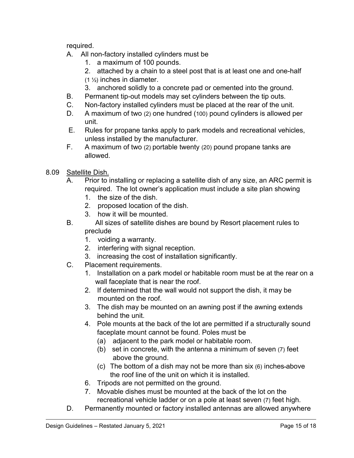required.

- A. All non-factory installed cylinders must be
	- 1. a maximum of 100 pounds.
	- 2. attached by a chain to a steel post that is at least one and one-half
	- (1 ½) inches in diameter.
	- 3. anchored solidly to a concrete pad or cemented into the ground.
- B. Permanent tip-out models may set cylinders between the tip outs.
- C. Non-factory installed cylinders must be placed at the rear of the unit.
- D. A maximum of two (2) one hundred (100) pound cylinders is allowed per unit.
- E. Rules for propane tanks apply to park models and recreational vehicles, unless installed by the manufacturer.
- F. A maximum of two (2) portable twenty (20) pound propane tanks are allowed.
- 8.09 Satellite Dish.
	- A. Prior to installing or replacing a satellite dish of any size, an ARC permit is required. The lot owner's application must include a site plan showing
		- 1. the size of the dish.
		- 2. proposed location of the dish.
		- 3. how it will be mounted.
	- B. All sizes of satellite dishes are bound by Resort placement rules to preclude
		- 1. voiding a warranty.
		- 2. interfering with signal reception.
		- 3. increasing the cost of installation significantly.
	- C. Placement requirements.
		- 1. Installation on a park model or habitable room must be at the rear on a wall faceplate that is near the roof.
		- 2. If determined that the wall would not support the dish, it may be mounted on the roof.
		- 3. The dish may be mounted on an awning post if the awning extends behind the unit.
		- 4. Pole mounts at the back of the lot are permitted if a structurally sound faceplate mount cannot be found. Poles must be
			- (a) adjacent to the park model or habitable room.
			- (b) set in concrete, with the antenna a minimum of seven (7) feet above the ground.
			- (c) The bottom of a dish may not be more than six (6) inches above the roof line of the unit on which it is installed.
		- 6. Tripods are not permitted on the ground.
		- 7. Movable dishes must be mounted at the back of the lot on the recreational vehicle ladder or on a pole at least seven (7) feet high.
	- D. Permanently mounted or factory installed antennas are allowed anywhere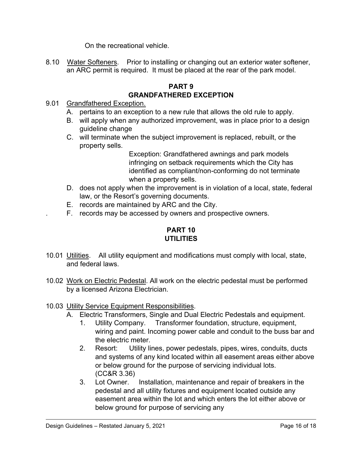On the recreational vehicle.

8.10 Water Softeners. Prior to installing or changing out an exterior water softener, an ARC permit is required. It must be placed at the rear of the park model.

## **PART 9 GRANDFATHERED EXCEPTION**

- 9.01 Grandfathered Exception.
	- A. pertains to an exception to a new rule that allows the old rule to apply.
	- B. will apply when any authorized improvement, was in place prior to a design guideline change
	- C. will terminate when the subject improvement is replaced, rebuilt, or the property sells.

Exception: Grandfathered awnings and park models infringing on setback requirements which the City has identified as compliant/non-conforming do not terminate when a property sells.

- D. does not apply when the improvement is in violation of a local, state, federal law, or the Resort's governing documents.
- E. records are maintained by ARC and the City.
- . F. records may be accessed by owners and prospective owners.

## **PART 10 UTILITIES**

- 10.01 Utilities. All utility equipment and modifications must comply with local, state, and federal laws.
- 10.02 Work on Electric Pedestal. All work on the electric pedestal must be performed by a licensed Arizona Electrician.
- 10.03 Utility Service Equipment Responsibilities.
	- A. Electric Transformers, Single and Dual Electric Pedestals and equipment.
		- 1. Utility Company. Transformer foundation, structure, equipment, wiring and paint. Incoming power cable and conduit to the buss bar and the electric meter.
		- 2. Resort: Utility lines, power pedestals, pipes, wires, conduits, ducts and systems of any kind located within all easement areas either above or below ground for the purpose of servicing individual lots. (CC&R 3.36)
		- 3. Lot Owner. Installation, maintenance and repair of breakers in the pedestal and all utility fixtures and equipment located outside any easement area within the lot and which enters the lot either above or below ground for purpose of servicing any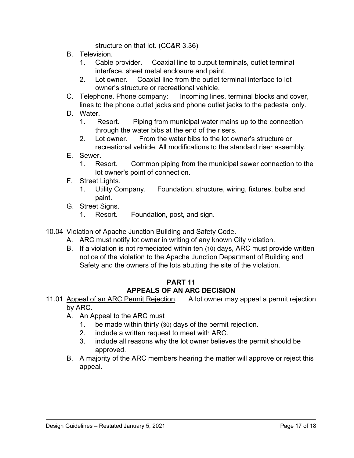structure on that lot. (CC&R 3.36)

- B. Television.
	- 1. Cable provider. Coaxial line to output terminals, outlet terminal interface, sheet metal enclosure and paint.
	- 2. Lot owner. Coaxial line from the outlet terminal interface to lot owner's structure or recreational vehicle.
- C. Telephone. Phone company: Incoming lines, terminal blocks and cover, lines to the phone outlet jacks and phone outlet jacks to the pedestal only.
- D. Water.
	- 1. Resort. Piping from municipal water mains up to the connection through the water bibs at the end of the risers.
	- 2. Lot owner. From the water bibs to the lot owner's structure or recreational vehicle. All modifications to the standard riser assembly.
- E. Sewer.
	- 1. Resort. Common piping from the municipal sewer connection to the lot owner's point of connection.
- F. Street Lights.
	- 1. Utility Company. Foundation, structure, wiring, fixtures, bulbs and paint.
- G. Street Signs.
	- 1. Resort. Foundation, post, and sign.
- 10.04 Violation of Apache Junction Building and Safety Code.
	- A. ARC must notify lot owner in writing of any known City violation.
	- B. If a violation is not remediated within ten (10) days, ARC must provide written notice of the violation to the Apache Junction Department of Building and Safety and the owners of the lots abutting the site of the violation.

## **PART 11 APPEALS OF AN ARC DECISION**

- 11.01 Appeal of an ARC Permit Rejection. A lot owner may appeal a permit rejection by ARC.
	- A. An Appeal to the ARC must
		- 1. be made within thirty (30) days of the permit rejection.
		- 2. include a written request to meet with ARC.
		- 3. include all reasons why the lot owner believes the permit should be approved.
	- B. A majority of the ARC members hearing the matter will approve or reject this appeal.